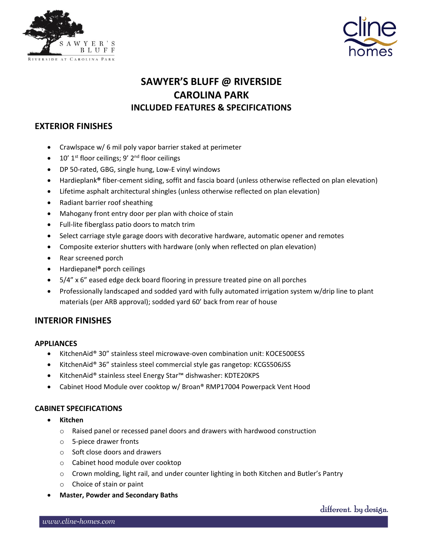



# **SAWYER'S BLUFF @ RIVERSIDE CAROLINA PARK INCLUDED FEATURES & SPECIFICATIONS**

# **EXTERIOR FINISHES**

- Crawlspace w/ 6 mil poly vapor barrier staked at perimeter
- $\bullet$  10' 1<sup>st</sup> floor ceilings; 9' 2<sup>nd</sup> floor ceilings
- DP 50-rated, GBG, single hung, Low-E vinyl windows
- Hardieplank**®** fiber-cement siding, soffit and fascia board (unless otherwise reflected on plan elevation)
- Lifetime asphalt architectural shingles (unless otherwise reflected on plan elevation)
- Radiant barrier roof sheathing
- Mahogany front entry door per plan with choice of stain
- Full-lite fiberglass patio doors to match trim
- Select carriage style garage doors with decorative hardware, automatic opener and remotes
- Composite exterior shutters with hardware (only when reflected on plan elevation)
- Rear screened porch
- Hardiepanel**®** porch ceilings
- 5/4" x 6" eased edge deck board flooring in pressure treated pine on all porches
- Professionally landscaped and sodded yard with fully automated irrigation system w/drip line to plant materials (per ARB approval); sodded yard 60' back from rear of house

# **INTERIOR FINISHES**

# **APPLIANCES**

- KitchenAid® 30" stainless steel microwave-oven combination unit: KOCE500ESS
- KitchenAid® 36" stainless steel commercial style gas rangetop: KCGS506JSS
- KitchenAid® stainless steel Energy Star™ dishwasher: KDTE20KPS
- Cabinet Hood Module over cooktop w/ Broan® RMP17004 Powerpack Vent Hood

# **CABINET SPECIFICATIONS**

- **Kitchen**
	- $\circ$  Raised panel or recessed panel doors and drawers with hardwood construction
	- o 5-piece drawer fronts
	- o Soft close doors and drawers
	- o Cabinet hood module over cooktop
	- o Crown molding, light rail, and under counter lighting in both Kitchen and Butler's Pantry
	- o Choice of stain or paint
- **Master, Powder and Secondary Baths**

different. by design.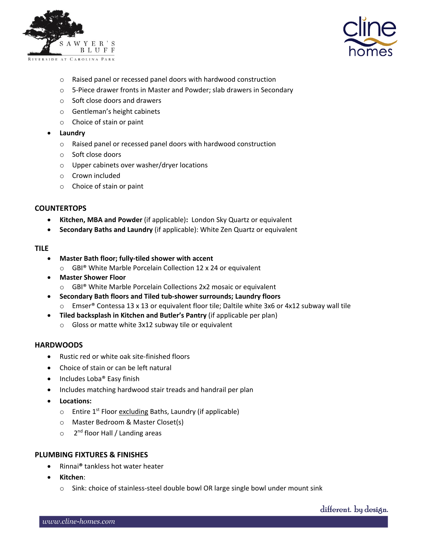



- o Raised panel or recessed panel doors with hardwood construction
- o 5-Piece drawer fronts in Master and Powder; slab drawers in Secondary
- o Soft close doors and drawers
- o Gentleman's height cabinets
- o Choice of stain or paint
- **Laundry**
	- o Raised panel or recessed panel doors with hardwood construction
	- o Soft close doors
	- o Upper cabinets over washer/dryer locations
	- o Crown included
	- o Choice of stain or paint

#### **COUNTERTOPS**

- **Kitchen, MBA and Powder** (if applicable)**:** London Sky Quartz or equivalent
- **Secondary Baths and Laundry** (if applicable): White Zen Quartz or equivalent

#### **TILE**

- **Master Bath floor; fully-tiled shower with accent**
	- o GBI® White Marble Porcelain Collection 12 x 24 or equivalent
- **Master Shower Floor**
	- o GBI® White Marble Porcelain Collections 2x2 mosaic or equivalent
- **Secondary Bath floors and Tiled tub-shower surrounds; Laundry floors**  $\circ$  Emser<sup>®</sup> Contessa 13 x 13 or equivalent floor tile; Daltile white 3x6 or 4x12 subway wall tile
- **Tiled backsplash in Kitchen and Butler's Pantry** (if applicable per plan)
	- o Gloss or matte white 3x12 subway tile or equivalent

#### **HARDWOODS**

- Rustic red or white oak site-finished floors
- Choice of stain or can be left natural
- Includes Loba® Easy finish
- Includes matching hardwood stair treads and handrail per plan
- **Locations:**
	- o Entire 1<sup>st</sup> Floor excluding Baths, Laundry (if applicable)
	- o Master Bedroom & Master Closet(s)
	- o 2<sup>nd</sup> floor Hall / Landing areas

#### **PLUMBING FIXTURES & FINISHES**

- Rinnai**®** tankless hot water heater
- **Kitchen**:
	- $\circ$  Sink: choice of stainless-steel double bowl OR large single bowl under mount sink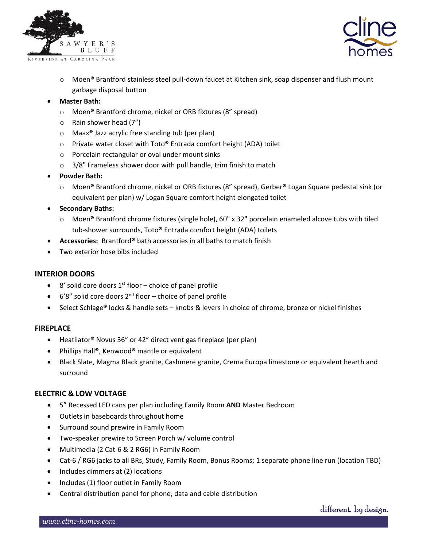



- o Moen**®** Brantford stainless steel pull-down faucet at Kitchen sink, soap dispenser and flush mount garbage disposal button
- **Master Bath:** 
	- o Moen**®** Brantford chrome, nickel or ORB fixtures (8" spread)
	- o Rain shower head (7")
	- o Maax**®** Jazz acrylic free standing tub (per plan)
	- o Private water closet with Toto**®** Entrada comfort height (ADA) toilet
	- o Porcelain rectangular or oval under mount sinks
	- $\circ$  3/8" Frameless shower door with pull handle, trim finish to match
- **Powder Bath:** 
	- o Moen**®** Brantford chrome, nickel or ORB fixtures (8" spread), Gerber**®** Logan Square pedestal sink (or equivalent per plan) w/ Logan Square comfort height elongated toilet
- **Secondary Baths:** 
	- o Moen**®** Brantford chrome fixtures (single hole), 60" x 32" porcelain enameled alcove tubs with tiled tub-shower surrounds, Toto**®** Entrada comfort height (ADA) toilets
- **Accessories:** Brantford**®** bath accessories in all baths to match finish
- Two exterior hose bibs included

# **INTERIOR DOORS**

- 8' solid core doors  $1<sup>st</sup>$  floor choice of panel profile
- $\bullet$  6'8" solid core doors  $2^{nd}$  floor choice of panel profile
- Select Schlage**®** locks & handle sets knobs & levers in choice of chrome, bronze or nickel finishes

# **FIREPLACE**

- Heatilator**®** Novus 36" or 42" direct vent gas fireplace (per plan)
- Phillips Hall**®**, Kenwood**®** mantle or equivalent
- Black Slate, Magma Black granite, Cashmere granite, Crema Europa limestone or equivalent hearth and surround

# **ELECTRIC & LOW VOLTAGE**

- 5" Recessed LED cans per plan including Family Room **AND** Master Bedroom
- Outlets in baseboards throughout home
- Surround sound prewire in Family Room
- Two-speaker prewire to Screen Porch w/ volume control
- Multimedia (2 Cat-6 & 2 RG6) in Family Room
- Cat-6 / RG6 jacks to all BRs, Study, Family Room, Bonus Rooms; 1 separate phone line run (location TBD)
- Includes dimmers at (2) locations
- Includes (1) floor outlet in Family Room
- Central distribution panel for phone, data and cable distribution